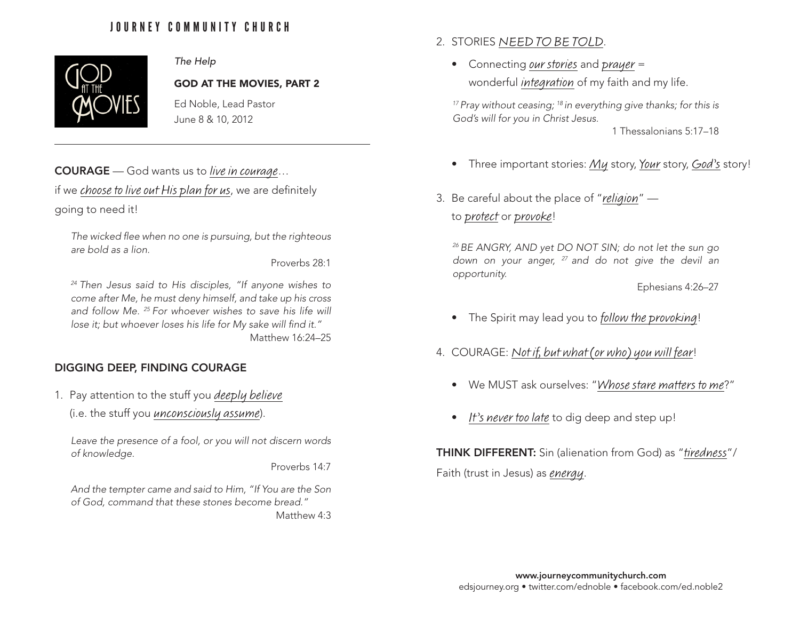# JOURNEY COMMUNITY CHURCH



### *The Help*

#### GOD AT THE MOVIES, PART 2

Ed Noble, Lead Pastor June 8 & 10, 2012

## COURAGE — God wants us to live in courage…

if we choose to live out His plan for us, we are definitely going to need it!

*The wicked flee when no one is pursuing, but the righteous are bold as a lion.*

Proverbs 28:1

*24 Then Jesus said to His disciples, "If anyone wishes to come after Me, he must deny himself, and take up his cross*  and follow Me. <sup>25</sup> For whoever wishes to save his life will *lose it; but whoever loses his life for My sake will find it."* Matthew 16:24–25

### DIGGING DEEP, FINDING COURAGE

- 1. Pay attention to the stuff you deeply believe
	- (i.e. the stuff you unconsciously assume).

*Leave the presence of a fool, or you will not discern words of knowledge.*

Proverbs 14:7

*And the tempter came and said to Him, "If You are the Son of God, command that these stones become bread."*

Matthew 4:3

- 2. STORIES NEED TO BE TOLD.
	- Connecting *our stories* and *prayer* = wonderful *integration* of my faith and my life.

*17 Pray without ceasing; 18 in everything give thanks; for this is God's will for you in Christ Jesus.*

1 Thessalonians 5:17–18

- Three important stories: My story, Your story, God's story!
- 3. Be careful about the place of "religion" to protect or provoke!

*26 BE ANGRY, AND yet DO NOT SIN; do not let the sun go down on your anger, 27 and do not give the devil an opportunity.*

Ephesians 4:26–27

- The Spirit may lead you to follow the provoking!
- 4. COURAGE: Not if, but what (or who) you will fear!
	- We MUST ask ourselves: "Whose stare matters to me?"
	- It's never too late to dig deep and step up!

THINK DIFFERENT: Sin (alienation from God) as "tiredness"/ Faith (trust in Jesus) as energy.